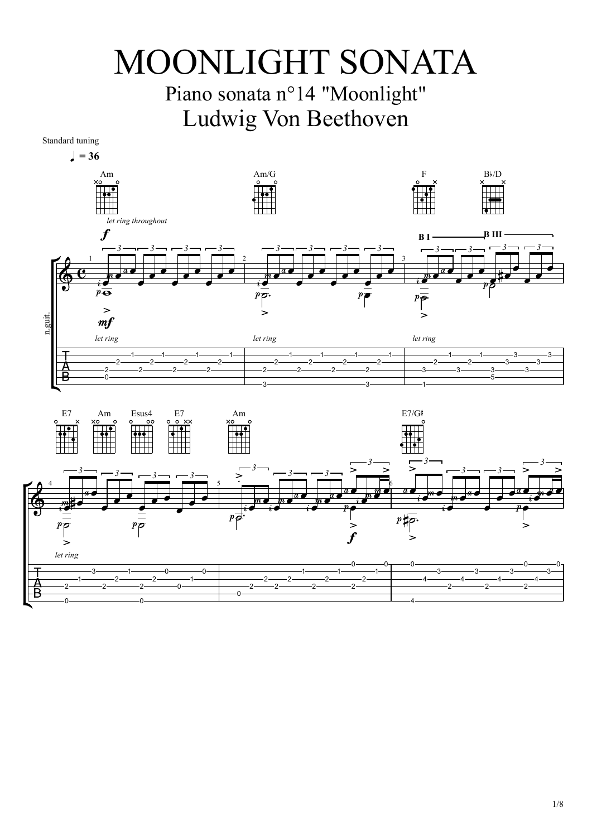## MOONLIGHT SONATA

## Piano sonata n°14 "Moonlight" Ludwig Von Beethoven



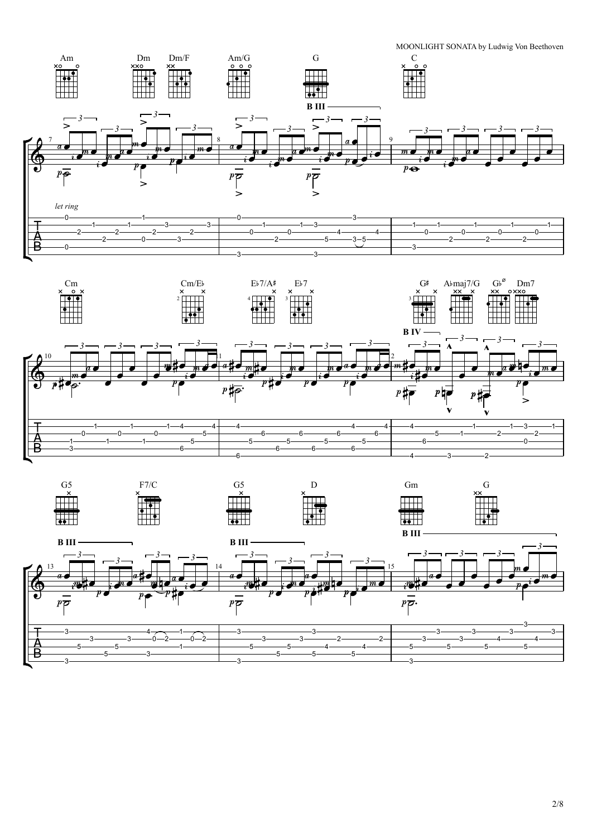



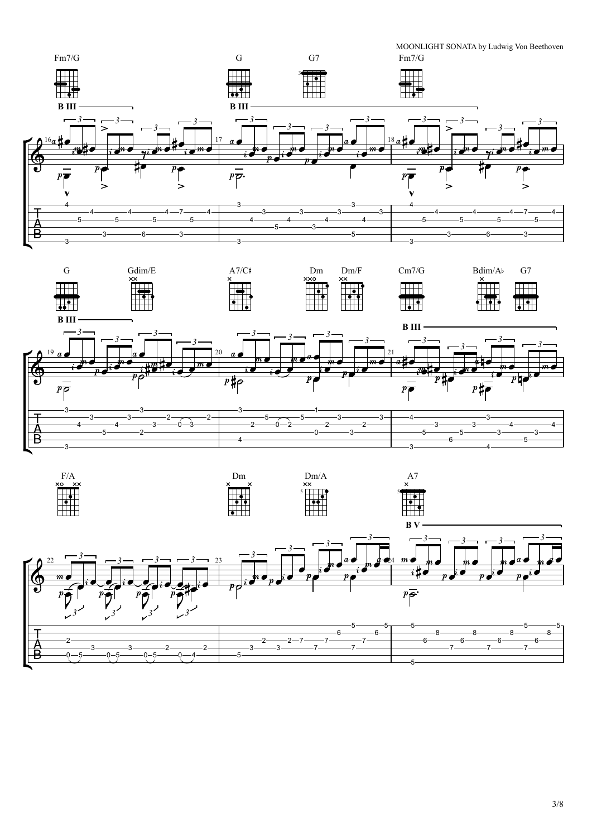



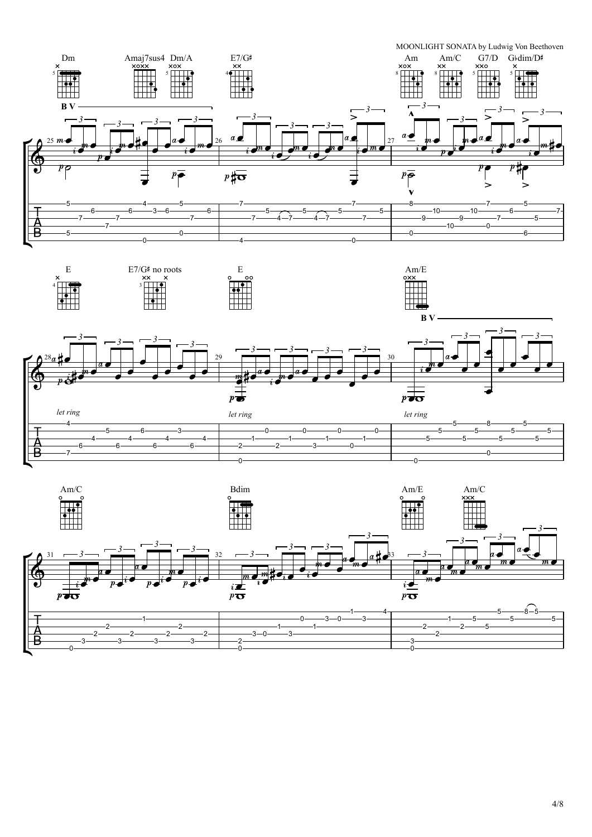





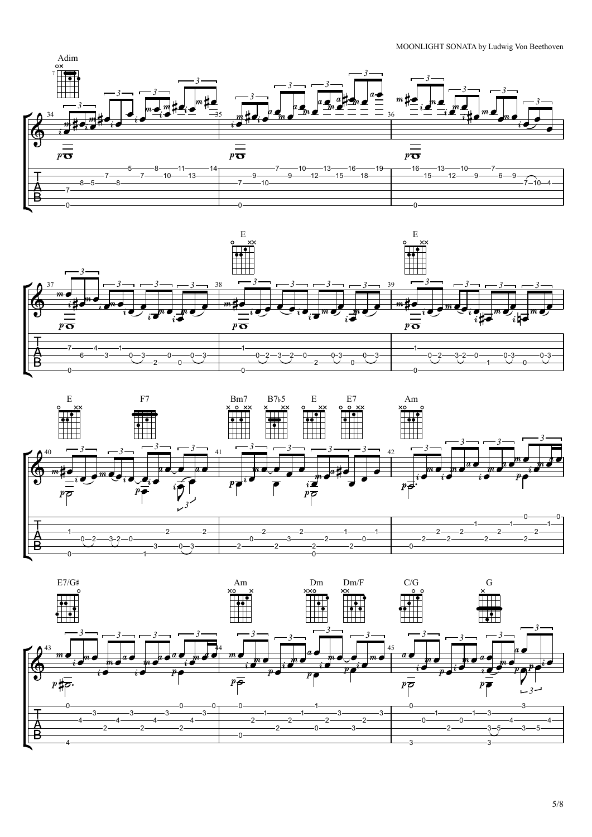## MOONLIGHT SONATA by Ludwig Von Beethoven









| E7/G# | Am     | Dm     | Dm/F      | C/G           |  |
|-------|--------|--------|-----------|---------------|--|
|       | $\sim$ | $\sim$ | $\lambda$ | $\sim$ $\sim$ |  |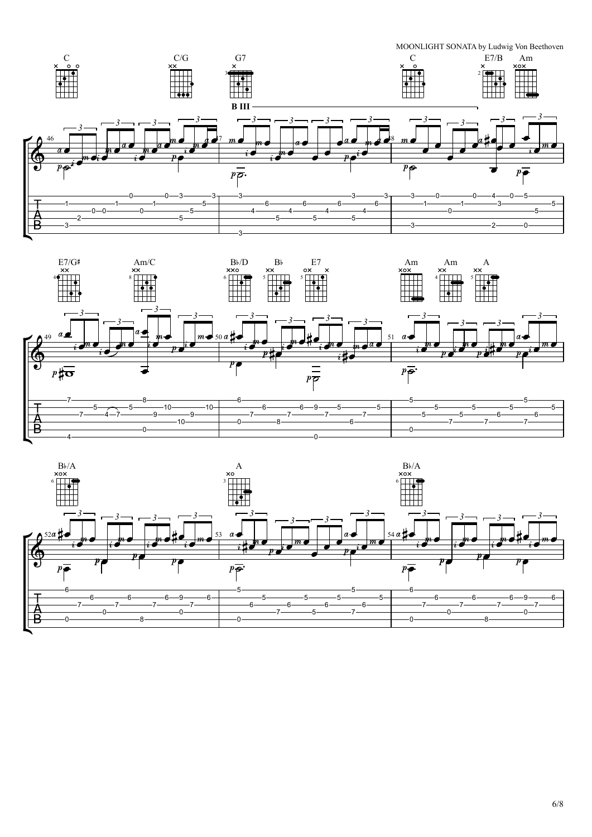MOONLIGHT SONATA by Ludwig Von Beethoven





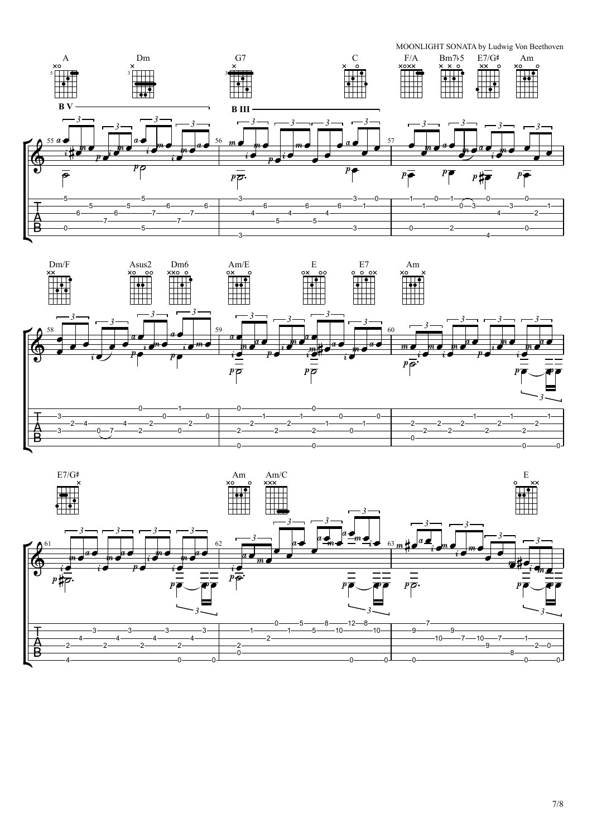